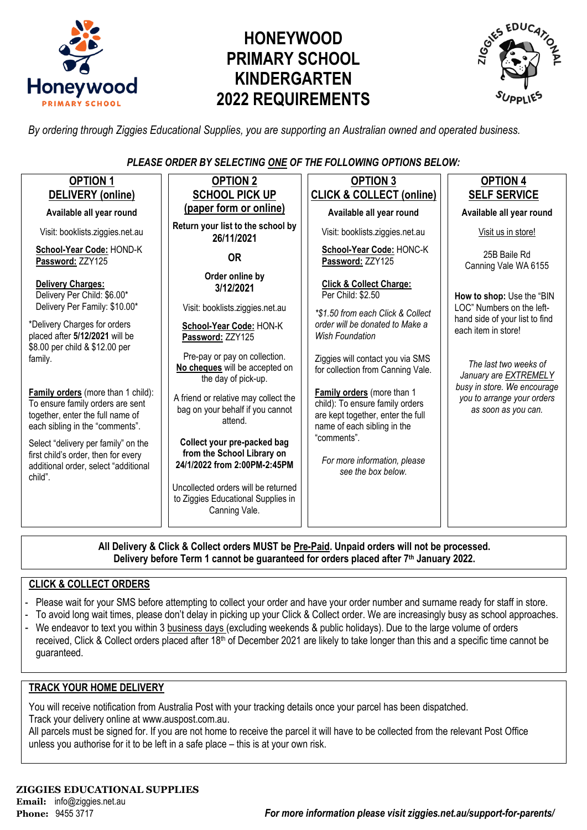

# **HONEYWOOD PRIMARY SCHOOL KINDERGARTEN 2022 REQUIREMENTS**



*By ordering through Ziggies Educational Supplies, you are supporting an Australian owned and operated business.*

### *PLEASE ORDER BY SELECTING ONE OF THE FOLLOWING OPTIONS BELOW:*

| <b>OPTION 1</b>                                                                                                                               | <b>OPTION 2</b>                                                                                                                  | <b>OPTION 3</b>                                                                                                                   | <b>OPTION 4</b>                                                                    |  |
|-----------------------------------------------------------------------------------------------------------------------------------------------|----------------------------------------------------------------------------------------------------------------------------------|-----------------------------------------------------------------------------------------------------------------------------------|------------------------------------------------------------------------------------|--|
| <b>DELIVERY</b> (online)                                                                                                                      | <b>SCHOOL PICK UP</b>                                                                                                            | <b>CLICK &amp; COLLECT (online)</b>                                                                                               | <b>SELF SERVICE</b>                                                                |  |
| Available all year round                                                                                                                      | (paper form or online)                                                                                                           | Available all year round                                                                                                          | Available all year round                                                           |  |
| Visit: booklists.ziggies.net.au                                                                                                               | Return your list to the school by<br>26/11/2021                                                                                  | Visit: booklists.ziggies.net.au                                                                                                   | Visit us in store!                                                                 |  |
| School-Year Code: HOND-K<br>Password: ZZY125                                                                                                  | <b>OR</b>                                                                                                                        | School-Year Code: HONC-K<br>Password: ZZY125                                                                                      | 25B Baile Rd<br>Canning Vale WA 6155                                               |  |
| Delivery Charges:<br>Delivery Per Child: \$6.00*<br>Delivery Per Family: \$10.00*                                                             | Order online by<br>3/12/2021                                                                                                     | <b>Click &amp; Collect Charge:</b><br>Per Child: \$2.50                                                                           | How to shop: Use the "BIN                                                          |  |
| *Delivery Charges for orders<br>placed after 5/12/2021 will be<br>\$8.00 per child & \$12.00 per                                              | Visit: booklists.ziggies.net.au<br>School-Year Code: HON-K<br>Password: ZZY125                                                   | *\$1.50 from each Click & Collect<br>order will be donated to Make a<br><b>Wish Foundation</b>                                    | LOC" Numbers on the left-<br>hand side of your list to find<br>each item in store! |  |
| family.                                                                                                                                       | Pre-pay or pay on collection.<br>No cheques will be accepted on<br>the day of pick-up.                                           | Ziggies will contact you via SMS<br>for collection from Canning Vale.                                                             | The last two weeks of<br>January are <b>EXTREMELY</b>                              |  |
| Family orders (more than 1 child):<br>To ensure family orders are sent<br>together, enter the full name of<br>each sibling in the "comments". | A friend or relative may collect the<br>bag on your behalf if you cannot<br>attend.                                              | Family orders (more than 1<br>child): To ensure family orders<br>are kept together, enter the full<br>name of each sibling in the | busy in store. We encourage<br>you to arrange your orders<br>as soon as you can.   |  |
| Select "delivery per family" on the<br>first child's order, then for every<br>additional order, select "additional<br>child".                 | Collect your pre-packed bag<br>from the School Library on<br>24/1/2022 from 2:00PM-2:45PM<br>Uncollected orders will be returned | "comments".<br>For more information, please<br>see the box below.                                                                 |                                                                                    |  |
|                                                                                                                                               | to Ziggies Educational Supplies in<br>Canning Vale.                                                                              |                                                                                                                                   |                                                                                    |  |

**All Delivery & Click & Collect orders MUST be Pre-Paid. Unpaid orders will not be processed. Delivery before Term 1 cannot be guaranteed for orders placed after 7th January 2022.**

#### **CLICK & COLLECT ORDERS**

- Please wait for your SMS before attempting to collect your order and have your order number and surname ready for staff in store.
- To avoid long wait times, please don't delay in picking up your Click & Collect order. We are increasingly busy as school approaches.
- We endeavor to text you within 3 business days (excluding weekends & public holidays). Due to the large volume of orders received, Click & Collect orders placed after 18<sup>th</sup> of December 2021 are likely to take longer than this and a specific time cannot be guaranteed.

#### **TRACK YOUR HOME DELIVERY**

You will receive notification from Australia Post with your tracking details once your parcel has been dispatched. Track your delivery online a[t www.auspost.com.au.](http://www.auspost.com.au/)

All parcels must be signed for. If you are not home to receive the parcel it will have to be collected from the relevant Post Office unless you authorise for it to be left in a safe place – this is at your own risk.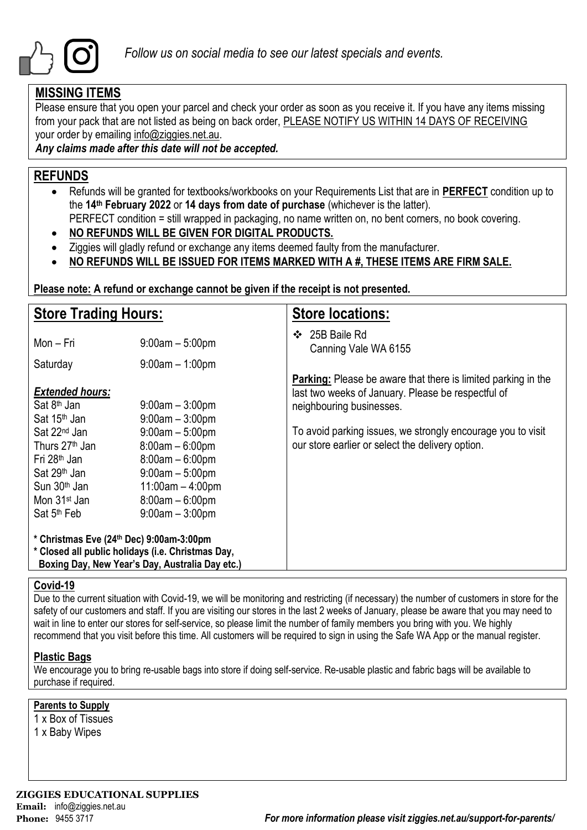

## **MISSING ITEMS**

Please ensure that you open your parcel and check your order as soon as you receive it. If you have any items missing from your pack that are not listed as being on back order, PLEASE NOTIFY US WITHIN 14 DAYS OF RECEIVING your order by emailing info@ziggies.net.au.

*Any claims made after this date will not be accepted.*

## **REFUNDS**

- Refunds will be granted for textbooks/workbooks on your Requirements List that are in **PERFECT** condition up to the **14th February 2022** or **14 days from date of purchase** (whichever is the latter).
	- PERFECT condition = still wrapped in packaging, no name written on, no bent corners, no book covering.
- **NO REFUNDS WILL BE GIVEN FOR DIGITAL PRODUCTS.**
- Ziggies will gladly refund or exchange any items deemed faulty from the manufacturer.
- **NO REFUNDS WILL BE ISSUED FOR ITEMS MARKED WITH A #, THESE ITEMS ARE FIRM SALE.**

**Please note: A refund or exchange cannot be given if the receipt is not presented.**

| <b>Store Trading Hours:</b>                                                                                                                                                                       |                                                                                                                                                  | <b>Store locations:</b>                                                                                                                                |  |  |  |  |
|---------------------------------------------------------------------------------------------------------------------------------------------------------------------------------------------------|--------------------------------------------------------------------------------------------------------------------------------------------------|--------------------------------------------------------------------------------------------------------------------------------------------------------|--|--|--|--|
| Mon – Fri                                                                                                                                                                                         | $9:00am - 5:00pm$                                                                                                                                | 25B Baile Rd<br>❖<br>Canning Vale WA 6155                                                                                                              |  |  |  |  |
| Saturday                                                                                                                                                                                          | $9:00$ am $-1:00$ pm                                                                                                                             |                                                                                                                                                        |  |  |  |  |
| <b>Extended hours:</b><br>Sat 8 <sup>th</sup> Jan<br>Sat 15 <sup>th</sup> Jan                                                                                                                     | $9:00$ am $-3:00$ pm<br>$9:00am - 3:00pm$                                                                                                        | <b>Parking:</b> Please be aware that there is limited parking in the<br>last two weeks of January. Please be respectful of<br>neighbouring businesses. |  |  |  |  |
| Sat 22 <sup>nd</sup> Jan<br>Thurs 27 <sup>th</sup> Jan<br>Fri 28 <sup>th</sup> Jan<br>Sat 29 <sup>th</sup> Jan<br>Sun 30 <sup>th</sup> Jan<br>Mon 31 <sup>st</sup> Jan<br>Sat 5 <sup>th</sup> Feb | $9:00am - 5:00pm$<br>$8:00am - 6:00pm$<br>$8:00am - 6:00pm$<br>$9:00am - 5:00pm$<br>$11:00am - 4:00pm$<br>$8:00am - 6:00pm$<br>$9:00am - 3:00pm$ | To avoid parking issues, we strongly encourage you to visit<br>our store earlier or select the delivery option.                                        |  |  |  |  |
| * Christmas Eve (24th Dec) 9:00am-3:00pm<br>* Closed all public holidays (i.e. Christmas Day,<br>Boxing Day, New Year's Day, Australia Day etc.)                                                  |                                                                                                                                                  |                                                                                                                                                        |  |  |  |  |

#### **Covid-19**

Due to the current situation with Covid-19, we will be monitoring and restricting (if necessary) the number of customers in store for the safety of our customers and staff. If you are visiting our stores in the last 2 weeks of January, please be aware that you may need to wait in line to enter our stores for self-service, so please limit the number of family members you bring with you. We highly recommend that you visit before this time. All customers will be required to sign in using the Safe WA App or the manual register.

#### **Plastic Bags**

We encourage you to bring re-usable bags into store if doing self-service. Re-usable plastic and fabric bags will be available to purchase if required.

#### **Parents to Supply**

1 x Box of Tissues

1 x Baby Wipes